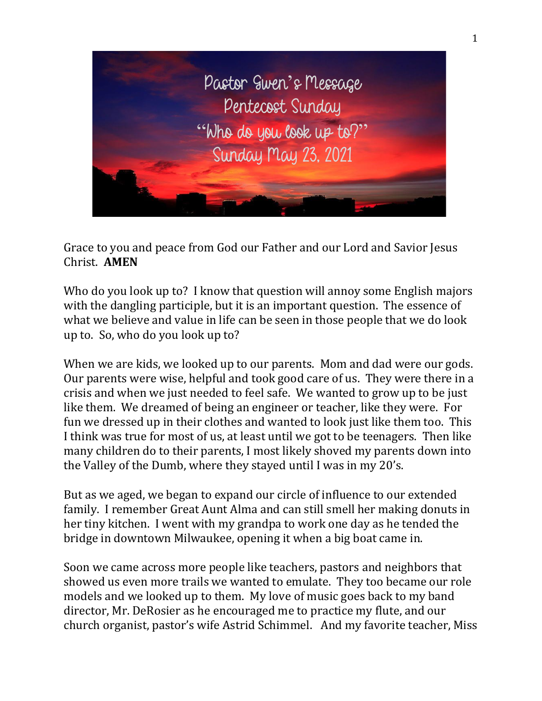

Grace to you and peace from God our Father and our Lord and Savior Jesus Christ. **AMEN**

Who do you look up to? I know that question will annoy some English majors with the dangling participle, but it is an important question. The essence of what we believe and value in life can be seen in those people that we do look up to. So, who do you look up to?

When we are kids, we looked up to our parents. Mom and dad were our gods. Our parents were wise, helpful and took good care of us. They were there in a crisis and when we just needed to feel safe. We wanted to grow up to be just like them. We dreamed of being an engineer or teacher, like they were. For fun we dressed up in their clothes and wanted to look just like them too. This I think was true for most of us, at least until we got to be teenagers. Then like many children do to their parents, I most likely shoved my parents down into the Valley of the Dumb, where they stayed until I was in my 20's.

But as we aged, we began to expand our circle of influence to our extended family. I remember Great Aunt Alma and can still smell her making donuts in her tiny kitchen. I went with my grandpa to work one day as he tended the bridge in downtown Milwaukee, opening it when a big boat came in.

Soon we came across more people like teachers, pastors and neighbors that showed us even more trails we wanted to emulate. They too became our role models and we looked up to them. My love of music goes back to my band director, Mr. DeRosier as he encouraged me to practice my flute, and our church organist, pastor's wife Astrid Schimmel. And my favorite teacher, Miss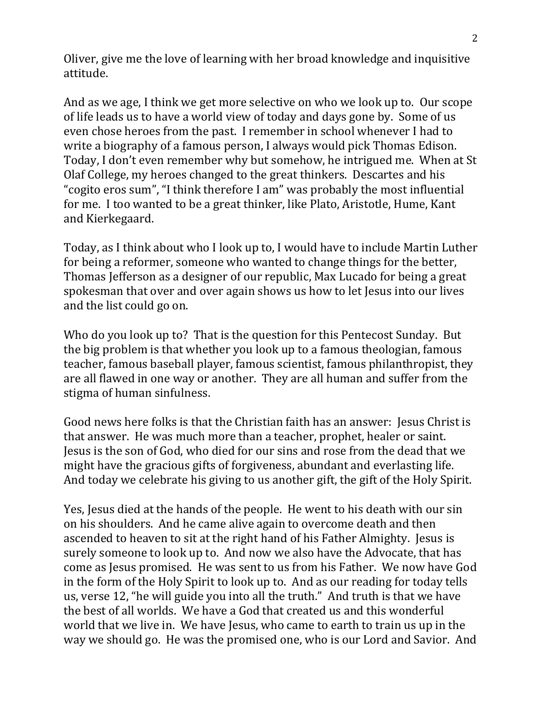Oliver, give me the love of learning with her broad knowledge and inquisitive attitude.

And as we age, I think we get more selective on who we look up to. Our scope of life leads us to have a world view of today and days gone by. Some of us even chose heroes from the past. I remember in school whenever I had to write a biography of a famous person, I always would pick Thomas Edison. Today, I don't even remember why but somehow, he intrigued me. When at St Olaf College, my heroes changed to the great thinkers. Descartes and his "cogito eros sum", "I think therefore I am" was probably the most influential for me. I too wanted to be a great thinker, like Plato, Aristotle, Hume, Kant and Kierkegaard.

Today, as I think about who I look up to, I would have to include Martin Luther for being a reformer, someone who wanted to change things for the better, Thomas Jefferson as a designer of our republic, Max Lucado for being a great spokesman that over and over again shows us how to let Jesus into our lives and the list could go on.

Who do you look up to? That is the question for this Pentecost Sunday. But the big problem is that whether you look up to a famous theologian, famous teacher, famous baseball player, famous scientist, famous philanthropist, they are all flawed in one way or another. They are all human and suffer from the stigma of human sinfulness.

Good news here folks is that the Christian faith has an answer: Jesus Christ is that answer. He was much more than a teacher, prophet, healer or saint. Jesus is the son of God, who died for our sins and rose from the dead that we might have the gracious gifts of forgiveness, abundant and everlasting life. And today we celebrate his giving to us another gift, the gift of the Holy Spirit.

Yes, Jesus died at the hands of the people. He went to his death with our sin on his shoulders. And he came alive again to overcome death and then ascended to heaven to sit at the right hand of his Father Almighty. Jesus is surely someone to look up to. And now we also have the Advocate, that has come as Jesus promised. He was sent to us from his Father. We now have God in the form of the Holy Spirit to look up to. And as our reading for today tells us, verse 12, "he will guide you into all the truth." And truth is that we have the best of all worlds. We have a God that created us and this wonderful world that we live in. We have Jesus, who came to earth to train us up in the way we should go. He was the promised one, who is our Lord and Savior. And